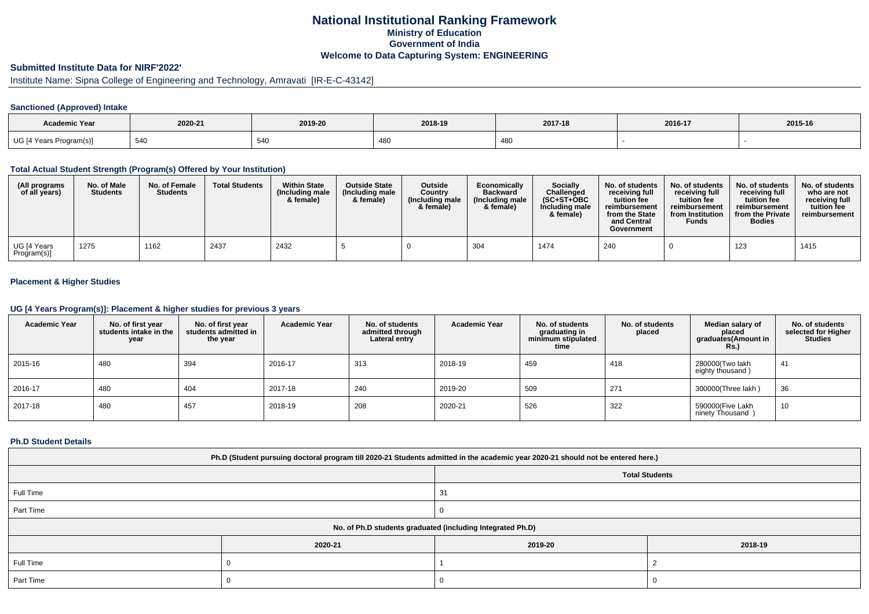## **National Institutional Ranking FrameworkMinistry of Education Government of IndiaWelcome to Data Capturing System: ENGINEERING**

# **Submitted Institute Data for NIRF'2022'**

# Institute Name: Sipna College of Engineering and Technology, Amravati [IR-E-C-43142]

## **Sanctioned (Approved) Intake**

| <b>Academic Year</b>    | 2020-21 | 2019-20 | 2018-19     | 2017-18 | 2016-17 | 2015-16 |
|-------------------------|---------|---------|-------------|---------|---------|---------|
| UG [4 Years Program(s)] | 54C     | 540     | 1 Q (<br>יט | 480     |         |         |

#### **Total Actual Student Strength (Program(s) Offered by Your Institution)**

| (All programs<br>of all years) | No. of Male<br><b>Students</b> | No. of Female<br><b>Students</b> | <b>Total Students</b> | <b>Within State</b><br>(Including male<br>& female) | <b>Outside State</b><br>(Including male<br>& female) | <b>Outside</b><br>Country<br>(Including male<br>& female) | Economically<br><b>Backward</b><br>(Including male<br>& female) | <b>Socially</b><br>Challenged<br>$(SC+ST+OBC)$<br>Including male<br>& female) | No. of students<br>receiving full<br>tuition fee<br>reimbursement<br>from the State<br>and Central<br>Government | No. of students<br>receiving full<br>tuition fee<br>reimbursement<br>from Institution<br>Funds | No. of students<br>receiving full<br>tuition fee<br>reimbursement<br>from the Private<br><b>Bodies</b> | No. of students<br>who are not<br>receiving full<br>tuition fee<br>reimbursement |
|--------------------------------|--------------------------------|----------------------------------|-----------------------|-----------------------------------------------------|------------------------------------------------------|-----------------------------------------------------------|-----------------------------------------------------------------|-------------------------------------------------------------------------------|------------------------------------------------------------------------------------------------------------------|------------------------------------------------------------------------------------------------|--------------------------------------------------------------------------------------------------------|----------------------------------------------------------------------------------|
| UG [4 Years<br>Program(s)]     | 1275                           | 1162                             | 2437                  | 2432                                                |                                                      |                                                           | 304                                                             | 1474                                                                          | 240                                                                                                              |                                                                                                | 123                                                                                                    | 1415                                                                             |

## **Placement & Higher Studies**

#### **UG [4 Years Program(s)]: Placement & higher studies for previous 3 years**

| <b>Academic Year</b> | No. of first year<br>students intake in the<br>year | No. of first vear<br>students admitted in<br>the year | <b>Academic Year</b> | No. of students<br>admitted through<br>Lateral entry | <b>Academic Year</b> | No. of students<br>graduating in<br>minimum stipulated<br>time | No. of students<br>placed | Median salary of<br>placed<br>graduates(Amount in<br><b>Rs.)</b> | No. of students<br>selected for Higher<br><b>Studies</b> |
|----------------------|-----------------------------------------------------|-------------------------------------------------------|----------------------|------------------------------------------------------|----------------------|----------------------------------------------------------------|---------------------------|------------------------------------------------------------------|----------------------------------------------------------|
| 2015-16              | 480                                                 | 394                                                   | 2016-17              | 313                                                  | 2018-19              | 459                                                            | 418                       | 280000(Two lakh<br>eighty thousand)                              | 41                                                       |
| 2016-17              | 480                                                 | 404                                                   | 2017-18              | 240                                                  | 2019-20              | 509                                                            | 271                       | 300000(Three lakh)                                               | 36                                                       |
| 2017-18              | 480                                                 | 457                                                   | 2018-19              | 208                                                  | 2020-21              | 526                                                            | 322                       | 590000(Five Lakh<br>ninety Thousand                              | 10                                                       |

#### **Ph.D Student Details**

| Ph.D (Student pursuing doctoral program till 2020-21 Students admitted in the academic year 2020-21 should not be entered here.) |                                                            |         |         |  |  |  |  |
|----------------------------------------------------------------------------------------------------------------------------------|------------------------------------------------------------|---------|---------|--|--|--|--|
|                                                                                                                                  | <b>Total Students</b>                                      |         |         |  |  |  |  |
| Full Time                                                                                                                        |                                                            | 31      |         |  |  |  |  |
| Part Time                                                                                                                        |                                                            | v       |         |  |  |  |  |
|                                                                                                                                  | No. of Ph.D students graduated (including Integrated Ph.D) |         |         |  |  |  |  |
|                                                                                                                                  | 2020-21                                                    | 2019-20 | 2018-19 |  |  |  |  |
| Full Time                                                                                                                        |                                                            |         |         |  |  |  |  |
| Part Time                                                                                                                        |                                                            |         |         |  |  |  |  |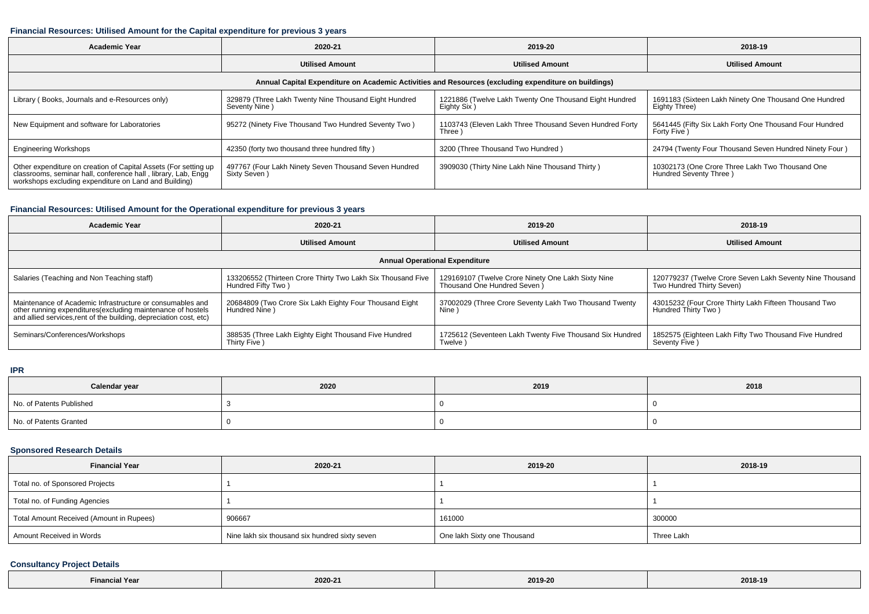## **Financial Resources: Utilised Amount for the Capital expenditure for previous 3 years**

| <b>Academic Year</b>                                                                                                                                                                      | 2020-21                                                                | 2019-20                                                               | 2018-19                                                                   |  |  |  |  |  |
|-------------------------------------------------------------------------------------------------------------------------------------------------------------------------------------------|------------------------------------------------------------------------|-----------------------------------------------------------------------|---------------------------------------------------------------------------|--|--|--|--|--|
|                                                                                                                                                                                           | <b>Utilised Amount</b>                                                 | <b>Utilised Amount</b>                                                | <b>Utilised Amount</b>                                                    |  |  |  |  |  |
| Annual Capital Expenditure on Academic Activities and Resources (excluding expenditure on buildings)                                                                                      |                                                                        |                                                                       |                                                                           |  |  |  |  |  |
| Library (Books, Journals and e-Resources only)                                                                                                                                            | 329879 (Three Lakh Twenty Nine Thousand Eight Hundred<br>Seventy Nine) | 1221886 (Twelve Lakh Twenty One Thousand Eight Hundred<br>Eighty Six) | 1691183 (Sixteen Lakh Ninety One Thousand One Hundred<br>Eighty Three)    |  |  |  |  |  |
| New Equipment and software for Laboratories                                                                                                                                               | 95272 (Ninety Five Thousand Two Hundred Seventy Two)                   | 1103743 (Eleven Lakh Three Thousand Seven Hundred Forty<br>Three)     | 5641445 (Fifty Six Lakh Forty One Thousand Four Hundred<br>Forty Five )   |  |  |  |  |  |
| <b>Engineering Workshops</b>                                                                                                                                                              | 42350 (forty two thousand three hundred fifty)                         | 3200 (Three Thousand Two Hundred)                                     | 24794 (Twenty Four Thousand Seven Hundred Ninety Four)                    |  |  |  |  |  |
| Other expenditure on creation of Capital Assets (For setting up<br>classrooms, seminar hall, conference hall, library, Lab, Engq<br>workshops excluding expenditure on Land and Building) | 497767 (Four Lakh Ninety Seven Thousand Seven Hundred<br>Sixty Seven)  | 3909030 (Thirty Nine Lakh Nine Thousand Thirty)                       | 10302173 (One Crore Three Lakh Two Thousand One<br>Hundred Seventy Three) |  |  |  |  |  |

## **Financial Resources: Utilised Amount for the Operational expenditure for previous 3 years**

| <b>Academic Year</b>                                                                                                                                                                            | 2020-21                                                                           | 2019-20                                                                            | 2018-19                                                                                 |  |  |  |  |  |
|-------------------------------------------------------------------------------------------------------------------------------------------------------------------------------------------------|-----------------------------------------------------------------------------------|------------------------------------------------------------------------------------|-----------------------------------------------------------------------------------------|--|--|--|--|--|
|                                                                                                                                                                                                 | <b>Utilised Amount</b>                                                            | <b>Utilised Amount</b>                                                             | <b>Utilised Amount</b>                                                                  |  |  |  |  |  |
| <b>Annual Operational Expenditure</b>                                                                                                                                                           |                                                                                   |                                                                                    |                                                                                         |  |  |  |  |  |
| Salaries (Teaching and Non Teaching staff)                                                                                                                                                      | 133206552 (Thirteen Crore Thirty Two Lakh Six Thousand Five<br>Hundred Fifty Two) | 129169107 (Twelve Crore Ninety One Lakh Sixty Nine<br>Thousand One Hundred Seven ) | 120779237 (Twelve Crore Seven Lakh Seventy Nine Thousand  <br>Two Hundred Thirty Seven) |  |  |  |  |  |
| Maintenance of Academic Infrastructure or consumables and<br>other running expenditures (excluding maintenance of hostels<br>and allied services, rent of the building, depreciation cost, etc) | 20684809 (Two Crore Six Lakh Eighty Four Thousand Eight<br>Hundred Nine)          | 37002029 (Three Crore Seventy Lakh Two Thousand Twenty<br>Nine )                   | 43015232 (Four Crore Thirty Lakh Fifteen Thousand Two<br>Hundred Thirty Two)            |  |  |  |  |  |
| Seminars/Conferences/Workshops                                                                                                                                                                  | 388535 (Three Lakh Eighty Eight Thousand Five Hundred<br>Thirty Five)             | 1725612 (Seventeen Lakh Twenty Five Thousand Six Hundred<br>Twelve )               | 1852575 (Eighteen Lakh Fifty Two Thousand Five Hundred<br>Seventy Five )                |  |  |  |  |  |

**IPR**

| Calendar year            | 2020 | 2019 | 2018 |
|--------------------------|------|------|------|
| No. of Patents Published |      |      |      |
| No. of Patents Granted   |      |      |      |

## **Sponsored Research Details**

| <b>Financial Year</b>                    | 2020-21                                        | 2019-20                     | 2018-19    |
|------------------------------------------|------------------------------------------------|-----------------------------|------------|
| Total no. of Sponsored Projects          |                                                |                             |            |
| Total no. of Funding Agencies            |                                                |                             |            |
| Total Amount Received (Amount in Rupees) | 906667                                         | 161000                      | 300000     |
| Amount Received in Words                 | Nine lakh six thousand six hundred sixty seven | One lakh Sixty one Thousand | Three Lakh |

# **Consultancy Project Details**

| $\cdots$<br>Yea<br>Financia. | 2020-21 | 2019-20 | 2018-19 |
|------------------------------|---------|---------|---------|
|------------------------------|---------|---------|---------|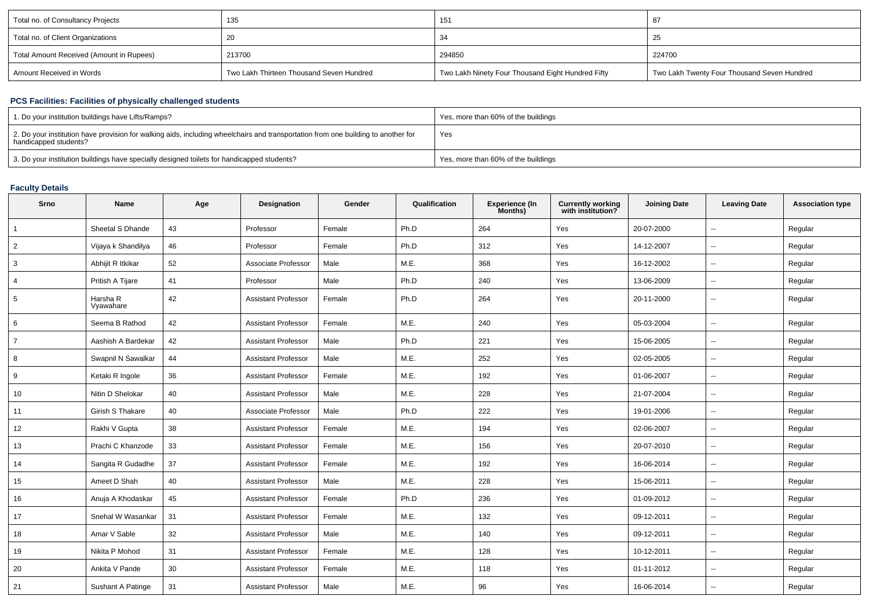| Total no. of Consultancy Projects        | 135                                      | 151                                               |                                             |
|------------------------------------------|------------------------------------------|---------------------------------------------------|---------------------------------------------|
| Total no. of Client Organizations        | 20                                       |                                                   | -25                                         |
| Total Amount Received (Amount in Rupees) | 213700                                   | 294850                                            | 224700                                      |
| Amount Received in Words                 | Two Lakh Thirteen Thousand Seven Hundred | Two Lakh Ninety Four Thousand Eight Hundred Fifty | Two Lakh Twenty Four Thousand Seven Hundred |

## **PCS Facilities: Facilities of physically challenged students**

| 1. Do your institution buildings have Lifts/Ramps?                                                                                                         | Yes, more than 60% of the buildings |
|------------------------------------------------------------------------------------------------------------------------------------------------------------|-------------------------------------|
| 2. Do your institution have provision for walking aids, including wheelchairs and transportation from one building to another for<br>handicapped students? | Yes                                 |
| 3. Do your institution buildings have specially designed toilets for handicapped students?                                                                 | Yes, more than 60% of the buildings |

### **Faculty Details**

| Srno           | Name                    | Age | <b>Designation</b>         | Gender | Qualification | <b>Experience (In</b><br>Months) | <b>Currently working</b><br>with institution? | <b>Joining Date</b> | <b>Leaving Date</b>      | <b>Association type</b> |
|----------------|-------------------------|-----|----------------------------|--------|---------------|----------------------------------|-----------------------------------------------|---------------------|--------------------------|-------------------------|
|                | Sheetal S Dhande        | 43  | Professor                  | Female | Ph.D          | 264                              | Yes                                           | 20-07-2000          | $\ddotsc$                | Regular                 |
| 2              | Vijaya k Shandilya      | 46  | Professor                  | Female | Ph.D          | 312                              | Yes                                           | 14-12-2007          | $\overline{\phantom{a}}$ | Regular                 |
| 3              | Abhijit R Itkikar       | 52  | Associate Professor        | Male   | M.E.          | 368                              | Yes                                           | 16-12-2002          | $\sim$                   | Regular                 |
| 4              | Pritish A Tijare        | 41  | Professor                  | Male   | Ph.D          | 240                              | Yes                                           | 13-06-2009          | $\overline{\phantom{a}}$ | Regular                 |
| 5              | Harsha R<br>Vyawahare   | 42  | Assistant Professor        | Female | Ph.D          | 264                              | Yes                                           | 20-11-2000          | $\overline{\phantom{a}}$ | Regular                 |
| 6              | Seema B Rathod          | 42  | <b>Assistant Professor</b> | Female | M.E.          | 240                              | Yes                                           | 05-03-2004          | $\sim$                   | Regular                 |
| $\overline{7}$ | Aashish A Bardekar      | 42  | Assistant Professor        | Male   | Ph.D          | 221                              | Yes                                           | 15-06-2005          | $\sim$                   | Regular                 |
| 8              | Swapnil N Sawalkar      | 44  | <b>Assistant Professor</b> | Male   | M.E.          | 252                              | Yes                                           | 02-05-2005          | $\sim$                   | Regular                 |
| 9              | Ketaki R Ingole         | 36  | <b>Assistant Professor</b> | Female | M.E.          | 192                              | Yes                                           | 01-06-2007          | $\overline{\phantom{a}}$ | Regular                 |
| 10             | Nitin D Shelokar        | 40  | <b>Assistant Professor</b> | Male   | M.E.          | 228                              | Yes                                           | 21-07-2004          | $\sim$                   | Regular                 |
| 11             | <b>Girish S Thakare</b> | 40  | Associate Professor        | Male   | Ph.D          | 222                              | Yes                                           | 19-01-2006          | $\overline{\phantom{a}}$ | Regular                 |
| 12             | Rakhi V Gupta           | 38  | <b>Assistant Professor</b> | Female | M.E.          | 194                              | Yes                                           | 02-06-2007          | $\sim$                   | Regular                 |
| 13             | Prachi C Khanzode       | 33  | <b>Assistant Professor</b> | Female | M.E.          | 156                              | Yes                                           | 20-07-2010          | $\sim$                   | Regular                 |
| 14             | Sangita R Gudadhe       | 37  | <b>Assistant Professor</b> | Female | M.E.          | 192                              | Yes                                           | 16-06-2014          | $\overline{\phantom{a}}$ | Regular                 |
| 15             | Ameet D Shah            | 40  | <b>Assistant Professor</b> | Male   | M.E.          | 228                              | Yes                                           | 15-06-2011          | $\overline{\phantom{a}}$ | Regular                 |
| 16             | Anuja A Khodaskar       | 45  | <b>Assistant Professor</b> | Female | Ph.D          | 236                              | Yes                                           | 01-09-2012          | $\sim$                   | Regular                 |
| 17             | Snehal W Wasankar       | 31  | <b>Assistant Professor</b> | Female | M.E.          | 132                              | Yes                                           | 09-12-2011          | $\overline{\phantom{a}}$ | Regular                 |
| 18             | Amar V Sable            | 32  | <b>Assistant Professor</b> | Male   | M.E.          | 140                              | Yes                                           | 09-12-2011          | $\sim$                   | Regular                 |
| 19             | Nikita P Mohod          | 31  | <b>Assistant Professor</b> | Female | M.E.          | 128                              | Yes                                           | 10-12-2011          | $\sim$                   | Regular                 |
| 20             | Ankita V Pande          | 30  | <b>Assistant Professor</b> | Female | M.E.          | 118                              | Yes                                           | 01-11-2012          | $\overline{\phantom{a}}$ | Regular                 |
| 21             | Sushant A Patinge       | 31  | <b>Assistant Professor</b> | Male   | M.E.          | 96                               | Yes                                           | 16-06-2014          | $\overline{\phantom{a}}$ | Regular                 |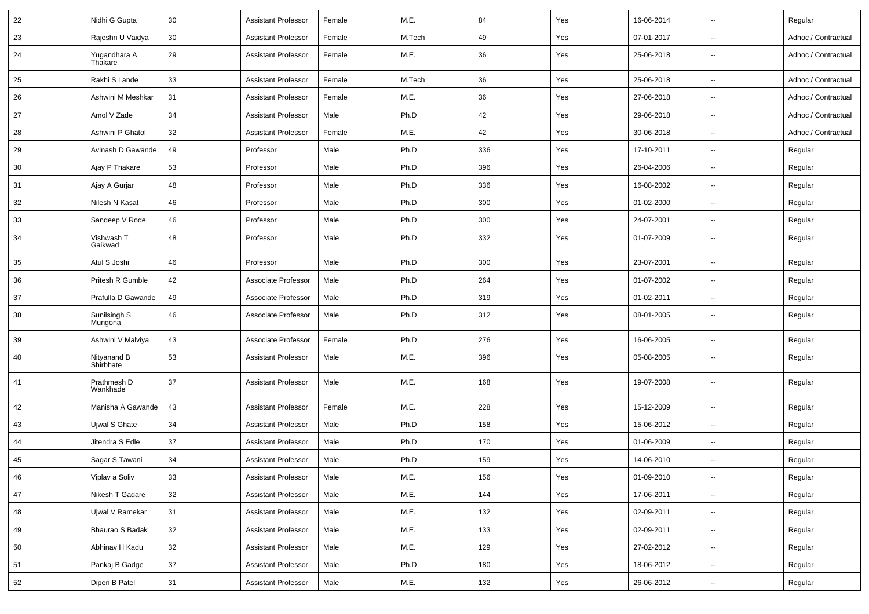| 22 | Nidhi G Gupta            | 30 | <b>Assistant Professor</b> | Female | M.E.   | 84  | Yes | 16-06-2014 | $\overline{\phantom{a}}$ | Regular             |
|----|--------------------------|----|----------------------------|--------|--------|-----|-----|------------|--------------------------|---------------------|
| 23 | Rajeshri U Vaidya        | 30 | <b>Assistant Professor</b> | Female | M.Tech | 49  | Yes | 07-01-2017 | $\overline{\phantom{a}}$ | Adhoc / Contractual |
| 24 | Yugandhara A<br>Thakare  | 29 | <b>Assistant Professor</b> | Female | M.E.   | 36  | Yes | 25-06-2018 |                          | Adhoc / Contractual |
| 25 | Rakhi S Lande            | 33 | <b>Assistant Professor</b> | Female | M.Tech | 36  | Yes | 25-06-2018 | $\overline{\phantom{a}}$ | Adhoc / Contractual |
| 26 | Ashwini M Meshkar        | 31 | Assistant Professor        | Female | M.E.   | 36  | Yes | 27-06-2018 | $\overline{\phantom{a}}$ | Adhoc / Contractual |
| 27 | Amol V Zade              | 34 | Assistant Professor        | Male   | Ph.D   | 42  | Yes | 29-06-2018 | $\overline{\phantom{a}}$ | Adhoc / Contractual |
| 28 | Ashwini P Ghatol         | 32 | <b>Assistant Professor</b> | Female | M.E.   | 42  | Yes | 30-06-2018 | $\sim$                   | Adhoc / Contractual |
| 29 | Avinash D Gawande        | 49 | Professor                  | Male   | Ph.D   | 336 | Yes | 17-10-2011 | $\sim$                   | Regular             |
| 30 | Ajay P Thakare           | 53 | Professor                  | Male   | Ph.D   | 396 | Yes | 26-04-2006 | $\overline{\phantom{a}}$ | Regular             |
| 31 | Ajay A Gurjar            | 48 | Professor                  | Male   | Ph.D   | 336 | Yes | 16-08-2002 | $\sim$                   | Regular             |
| 32 | Nilesh N Kasat           | 46 | Professor                  | Male   | Ph.D   | 300 | Yes | 01-02-2000 | $\overline{\phantom{a}}$ | Regular             |
| 33 | Sandeep V Rode           | 46 | Professor                  | Male   | Ph.D   | 300 | Yes | 24-07-2001 | $\overline{\phantom{a}}$ | Regular             |
| 34 | Vishwash T<br>Gaikwad    | 48 | Professor                  | Male   | Ph.D   | 332 | Yes | 01-07-2009 | $\overline{\phantom{a}}$ | Regular             |
| 35 | Atul S Joshi             | 46 | Professor                  | Male   | Ph.D   | 300 | Yes | 23-07-2001 | $\sim$                   | Regular             |
| 36 | Pritesh R Gumble         | 42 | Associate Professor        | Male   | Ph.D   | 264 | Yes | 01-07-2002 | $\sim$                   | Regular             |
| 37 | Prafulla D Gawande       | 49 | Associate Professor        | Male   | Ph.D   | 319 | Yes | 01-02-2011 | $\overline{\phantom{a}}$ | Regular             |
| 38 | Sunilsingh S<br>Mungona  | 46 | Associate Professor        | Male   | Ph.D   | 312 | Yes | 08-01-2005 | $\overline{\phantom{a}}$ | Regular             |
| 39 | Ashwini V Malviya        | 43 | Associate Professor        | Female | Ph.D   | 276 | Yes | 16-06-2005 | $\ddot{\phantom{a}}$     | Regular             |
| 40 | Nityanand B<br>Shirbhate | 53 | <b>Assistant Professor</b> | Male   | M.E.   | 396 | Yes | 05-08-2005 | $\overline{\phantom{a}}$ | Regular             |
| 41 | Prathmesh D<br>Wankhade  | 37 | <b>Assistant Professor</b> | Male   | M.E.   | 168 | Yes | 19-07-2008 | $\overline{\phantom{a}}$ | Regular             |
| 42 | Manisha A Gawande        | 43 | <b>Assistant Professor</b> | Female | M.E.   | 228 | Yes | 15-12-2009 | $\overline{\phantom{a}}$ | Regular             |
| 43 | Ujwal S Ghate            | 34 | Assistant Professor        | Male   | Ph.D   | 158 | Yes | 15-06-2012 | $\sim$                   | Regular             |
| 44 | Jitendra S Edle          | 37 | <b>Assistant Professor</b> | Male   | Ph.D   | 170 | Yes | 01-06-2009 | $\sim$                   | Regular             |
| 45 | Sagar S Tawani           | 34 | Assistant Professor        | Male   | Ph.D   | 159 | Yes | 14-06-2010 | $\overline{\phantom{a}}$ | Regular             |
| 46 | Viplav a Soliv           | 33 | <b>Assistant Professor</b> | Male   | M.E.   | 156 | Yes | 01-09-2010 | $\overline{\phantom{a}}$ | Regular             |
| 47 | Nikesh T Gadare          | 32 | <b>Assistant Professor</b> | Male   | M.E.   | 144 | Yes | 17-06-2011 | $\ddotsc$                | Regular             |
| 48 | Ujwal V Ramekar          | 31 | <b>Assistant Professor</b> | Male   | M.E.   | 132 | Yes | 02-09-2011 | $\sim$                   | Regular             |
| 49 | Bhaurao S Badak          | 32 | <b>Assistant Professor</b> | Male   | M.E.   | 133 | Yes | 02-09-2011 | $\overline{\phantom{a}}$ | Regular             |
| 50 | Abhinav H Kadu           | 32 | <b>Assistant Professor</b> | Male   | M.E.   | 129 | Yes | 27-02-2012 | $\ddotsc$                | Regular             |
| 51 | Pankaj B Gadge           | 37 | <b>Assistant Professor</b> | Male   | Ph.D   | 180 | Yes | 18-06-2012 | $\sim$                   | Regular             |
| 52 | Dipen B Patel            | 31 | <b>Assistant Professor</b> | Male   | M.E.   | 132 | Yes | 26-06-2012 | $\overline{\phantom{a}}$ | Regular             |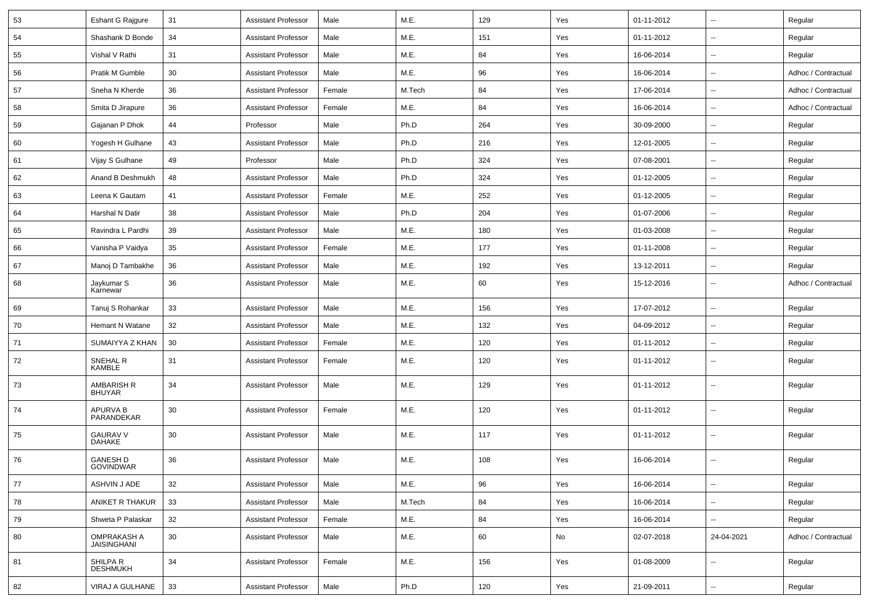| 53 | Eshant G Rajgure                         | 31 | <b>Assistant Professor</b> | Male   | M.E.   | 129 | Yes | 01-11-2012 | $\overline{\phantom{a}}$ | Regular             |
|----|------------------------------------------|----|----------------------------|--------|--------|-----|-----|------------|--------------------------|---------------------|
| 54 | Shashank D Bonde                         | 34 | <b>Assistant Professor</b> | Male   | M.E.   | 151 | Yes | 01-11-2012 | u.                       | Regular             |
| 55 | Vishal V Rathi                           | 31 | <b>Assistant Professor</b> | Male   | M.E.   | 84  | Yes | 16-06-2014 | --                       | Regular             |
| 56 | Pratik M Gumble                          | 30 | <b>Assistant Professor</b> | Male   | M.E.   | 96  | Yes | 16-06-2014 | $\overline{\phantom{a}}$ | Adhoc / Contractual |
| 57 | Sneha N Kherde                           | 36 | <b>Assistant Professor</b> | Female | M.Tech | 84  | Yes | 17-06-2014 | ۰.                       | Adhoc / Contractual |
| 58 | Smita D Jirapure                         | 36 | <b>Assistant Professor</b> | Female | M.E.   | 84  | Yes | 16-06-2014 | ۰.                       | Adhoc / Contractual |
| 59 | Gajanan P Dhok                           | 44 | Professor                  | Male   | Ph.D   | 264 | Yes | 30-09-2000 | u.                       | Regular             |
| 60 | Yogesh H Gulhane                         | 43 | <b>Assistant Professor</b> | Male   | Ph.D   | 216 | Yes | 12-01-2005 | --                       | Regular             |
| 61 | Vijay S Gulhane                          | 49 | Professor                  | Male   | Ph.D   | 324 | Yes | 07-08-2001 | $\overline{\phantom{a}}$ | Regular             |
| 62 | Anand B Deshmukh                         | 48 | <b>Assistant Professor</b> | Male   | Ph.D   | 324 | Yes | 01-12-2005 | $\overline{\phantom{a}}$ | Regular             |
| 63 | Leena K Gautam                           | 41 | <b>Assistant Professor</b> | Female | M.E.   | 252 | Yes | 01-12-2005 | ۰.                       | Regular             |
| 64 | <b>Harshal N Datir</b>                   | 38 | <b>Assistant Professor</b> | Male   | Ph.D   | 204 | Yes | 01-07-2006 | --                       | Regular             |
| 65 | Ravindra L Pardhi                        | 39 | <b>Assistant Professor</b> | Male   | M.E.   | 180 | Yes | 01-03-2008 | $\overline{\phantom{a}}$ | Regular             |
| 66 | Vanisha P Vaidya                         | 35 | <b>Assistant Professor</b> | Female | M.E.   | 177 | Yes | 01-11-2008 | u.                       | Regular             |
| 67 | Manoj D Tambakhe                         | 36 | <b>Assistant Professor</b> | Male   | M.E.   | 192 | Yes | 13-12-2011 | --                       | Regular             |
| 68 | Jaykumar S<br>Karnewar                   | 36 | <b>Assistant Professor</b> | Male   | M.E.   | 60  | Yes | 15-12-2016 | $\overline{\phantom{a}}$ | Adhoc / Contractual |
| 69 | Tanuj S Rohankar                         | 33 | <b>Assistant Professor</b> | Male   | M.E.   | 156 | Yes | 17-07-2012 | u.                       | Regular             |
| 70 | Hemant N Watane                          | 32 | <b>Assistant Professor</b> | Male   | M.E.   | 132 | Yes | 04-09-2012 | $\overline{\phantom{a}}$ | Regular             |
| 71 | SUMAIYYA Z KHAN                          | 30 | <b>Assistant Professor</b> | Female | M.E.   | 120 | Yes | 01-11-2012 | $\overline{\phantom{a}}$ | Regular             |
| 72 | SNEHAL R<br><b>KAMBLE</b>                | 31 | <b>Assistant Professor</b> | Female | M.E.   | 120 | Yes | 01-11-2012 | $\overline{\phantom{a}}$ | Regular             |
| 73 | AMBARISH R<br><b>BHUYAR</b>              | 34 | <b>Assistant Professor</b> | Male   | M.E.   | 129 | Yes | 01-11-2012 | $\overline{\phantom{a}}$ | Regular             |
| 74 | APURVA B<br>PARANDEKAR                   | 30 | <b>Assistant Professor</b> | Female | M.E.   | 120 | Yes | 01-11-2012 | u.                       | Regular             |
| 75 | <b>GAURAV V</b><br><b>DAHAKE</b>         | 30 | <b>Assistant Professor</b> | Male   | M.E.   | 117 | Yes | 01-11-2012 | $\overline{\phantom{a}}$ | Regular             |
| 76 | <b>GANESH D</b><br><b>GOVINDWAR</b>      | 36 | <b>Assistant Professor</b> | Male   | M.E.   | 108 | Yes | 16-06-2014 | $\overline{\phantom{a}}$ | Regular             |
| 77 | ASHVIN J ADE                             | 32 | <b>Assistant Professor</b> | Male   | M.E.   | 96  | Yes | 16-06-2014 | $\overline{\phantom{a}}$ | Regular             |
| 78 | ANIKET R THAKUR                          | 33 | <b>Assistant Professor</b> | Male   | M.Tech | 84  | Yes | 16-06-2014 | Ξ.                       | Regular             |
| 79 | Shweta P Palaskar                        | 32 | <b>Assistant Professor</b> | Female | M.E.   | 84  | Yes | 16-06-2014 | Ξ.                       | Regular             |
| 80 | <b>OMPRAKASH A</b><br><b>JAISINGHANI</b> | 30 | <b>Assistant Professor</b> | Male   | M.E.   | 60  | No  | 02-07-2018 | 24-04-2021               | Adhoc / Contractual |
| 81 | SHILPA R<br><b>DESHMUKH</b>              | 34 | <b>Assistant Professor</b> | Female | M.E.   | 156 | Yes | 01-08-2009 | u.                       | Regular             |
| 82 | VIRAJ A GULHANE                          | 33 | <b>Assistant Professor</b> | Male   | Ph.D   | 120 | Yes | 21-09-2011 | $\overline{\phantom{a}}$ | Regular             |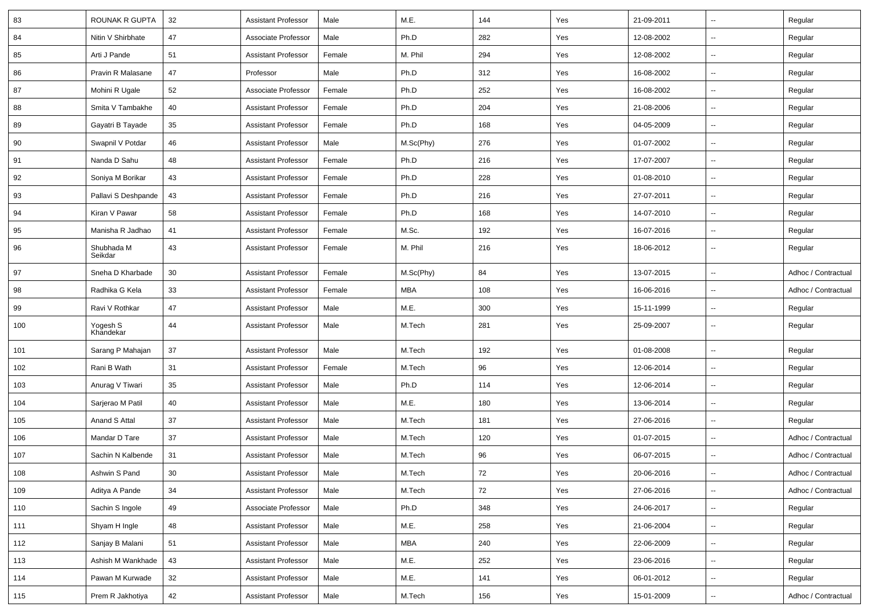| 83  | ROUNAK R GUPTA        | 32 | <b>Assistant Professor</b> | Male   | M.E.       | 144    | Yes | 21-09-2011 | $\overline{\phantom{a}}$ | Regular             |
|-----|-----------------------|----|----------------------------|--------|------------|--------|-----|------------|--------------------------|---------------------|
| 84  | Nitin V Shirbhate     | 47 | Associate Professor        | Male   | Ph.D       | 282    | Yes | 12-08-2002 | $\sim$                   | Regular             |
| 85  | Arti J Pande          | 51 | <b>Assistant Professor</b> | Female | M. Phil    | 294    | Yes | 12-08-2002 |                          | Regular             |
| 86  | Pravin R Malasane     | 47 | Professor                  | Male   | Ph.D       | 312    | Yes | 16-08-2002 | $\overline{\phantom{a}}$ | Regular             |
| 87  | Mohini R Ugale        | 52 | Associate Professor        | Female | Ph.D       | 252    | Yes | 16-08-2002 | $\overline{\phantom{a}}$ | Regular             |
| 88  | Smita V Tambakhe      | 40 | <b>Assistant Professor</b> | Female | Ph.D       | 204    | Yes | 21-08-2006 | $\overline{\phantom{a}}$ | Regular             |
| 89  | Gayatri B Tayade      | 35 | <b>Assistant Professor</b> | Female | Ph.D       | 168    | Yes | 04-05-2009 | Ξ.                       | Regular             |
| 90  | Swapnil V Potdar      | 46 | <b>Assistant Professor</b> | Male   | M.Sc(Phy)  | 276    | Yes | 01-07-2002 | Ξ.                       | Regular             |
| 91  | Nanda D Sahu          | 48 | <b>Assistant Professor</b> | Female | Ph.D       | 216    | Yes | 17-07-2007 | $\overline{\phantom{a}}$ | Regular             |
| 92  | Soniya M Borikar      | 43 | <b>Assistant Professor</b> | Female | Ph.D       | 228    | Yes | 01-08-2010 | $\overline{\phantom{a}}$ | Regular             |
| 93  | Pallavi S Deshpande   | 43 | <b>Assistant Professor</b> | Female | Ph.D       | 216    | Yes | 27-07-2011 | $\overline{\phantom{a}}$ | Regular             |
| 94  | Kiran V Pawar         | 58 | <b>Assistant Professor</b> | Female | Ph.D       | 168    | Yes | 14-07-2010 | $\overline{\phantom{a}}$ | Regular             |
| 95  | Manisha R Jadhao      | 41 | <b>Assistant Professor</b> | Female | M.Sc.      | 192    | Yes | 16-07-2016 | Ξ.                       | Regular             |
| 96  | Shubhada M<br>Seikdar | 43 | <b>Assistant Professor</b> | Female | M. Phil    | 216    | Yes | 18-06-2012 | $\overline{\phantom{a}}$ | Regular             |
| 97  | Sneha D Kharbade      | 30 | <b>Assistant Professor</b> | Female | M.Sc(Phy)  | 84     | Yes | 13-07-2015 | $\sim$                   | Adhoc / Contractual |
| 98  | Radhika G Kela        | 33 | <b>Assistant Professor</b> | Female | MBA        | 108    | Yes | 16-06-2016 |                          | Adhoc / Contractual |
| 99  | Ravi V Rothkar        | 47 | <b>Assistant Professor</b> | Male   | M.E.       | 300    | Yes | 15-11-1999 | $\overline{\phantom{a}}$ | Regular             |
| 100 | Yogesh S<br>Khandekar | 44 | <b>Assistant Professor</b> | Male   | M.Tech     | 281    | Yes | 25-09-2007 | --                       | Regular             |
| 101 | Sarang P Mahajan      | 37 | <b>Assistant Professor</b> | Male   | M.Tech     | 192    | Yes | 01-08-2008 |                          | Regular             |
| 102 | Rani B Wath           | 31 | <b>Assistant Professor</b> | Female | M.Tech     | 96     | Yes | 12-06-2014 |                          | Regular             |
| 103 | Anurag V Tiwari       | 35 | <b>Assistant Professor</b> | Male   | Ph.D       | 114    | Yes | 12-06-2014 | Ξ.                       | Regular             |
| 104 | Sarjerao M Patil      | 40 | <b>Assistant Professor</b> | Male   | M.E.       | 180    | Yes | 13-06-2014 | $\sim$                   | Regular             |
| 105 | Anand S Attal         | 37 | Assistant Professor        | Male   | M.Tech     | 181    | Yes | 27-06-2016 | н.                       | Regular             |
| 106 | Mandar D Tare         | 37 | <b>Assistant Professor</b> | Male   | M.Tech     | 120    | Yes | 01-07-2015 | $\overline{\phantom{a}}$ | Adhoc / Contractual |
| 107 | Sachin N Kalbende     | 31 | <b>Assistant Professor</b> | Male   | M.Tech     | 96     | Yes | 06-07-2015 | $\overline{\phantom{a}}$ | Adhoc / Contractual |
| 108 | Ashwin S Pand         | 30 | Assistant Professor        | Male   | M.Tech     | $72\,$ | Yes | 20-06-2016 |                          | Adhoc / Contractual |
| 109 | Aditya A Pande        | 34 | <b>Assistant Professor</b> | Male   | M.Tech     | 72     | Yes | 27-06-2016 | $\sim$                   | Adhoc / Contractual |
| 110 | Sachin S Ingole       | 49 | Associate Professor        | Male   | Ph.D       | 348    | Yes | 24-06-2017 | $\sim$                   | Regular             |
| 111 | Shyam H Ingle         | 48 | <b>Assistant Professor</b> | Male   | M.E.       | 258    | Yes | 21-06-2004 | н.                       | Regular             |
| 112 | Sanjay B Malani       | 51 | Assistant Professor        | Male   | <b>MBA</b> | 240    | Yes | 22-06-2009 | Щ,                       | Regular             |
| 113 | Ashish M Wankhade     | 43 | <b>Assistant Professor</b> | Male   | M.E.       | 252    | Yes | 23-06-2016 | $\overline{\phantom{a}}$ | Regular             |
| 114 | Pawan M Kurwade       | 32 | <b>Assistant Professor</b> | Male   | M.E.       | 141    | Yes | 06-01-2012 | Ξ.                       | Regular             |
| 115 | Prem R Jakhotiya      | 42 | <b>Assistant Professor</b> | Male   | M.Tech     | 156    | Yes | 15-01-2009 | $\overline{\phantom{a}}$ | Adhoc / Contractual |